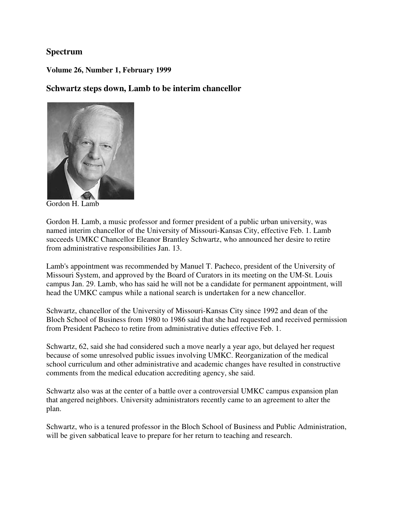### **Spectrum**

**Volume 26, Number 1, February 1999** 

### **Schwartz steps down, Lamb to be interim chancellor**



Gordon H. Lamb

Gordon H. Lamb, a music professor and former president of a public urban university, was named interim chancellor of the University of Missouri-Kansas City, effective Feb. 1. Lamb succeeds UMKC Chancellor Eleanor Brantley Schwartz, who announced her desire to retire from administrative responsibilities Jan. 13.

Lamb's appointment was recommended by Manuel T. Pacheco, president of the University of Missouri System, and approved by the Board of Curators in its meeting on the UM-St. Louis campus Jan. 29. Lamb, who has said he will not be a candidate for permanent appointment, will head the UMKC campus while a national search is undertaken for a new chancellor.

Schwartz, chancellor of the University of Missouri-Kansas City since 1992 and dean of the Bloch School of Business from 1980 to 1986 said that she had requested and received permission from President Pacheco to retire from administrative duties effective Feb. 1.

Schwartz, 62, said she had considered such a move nearly a year ago, but delayed her request because of some unresolved public issues involving UMKC. Reorganization of the medical school curriculum and other administrative and academic changes have resulted in constructive comments from the medical education accrediting agency, she said.

Schwartz also was at the center of a battle over a controversial UMKC campus expansion plan that angered neighbors. University administrators recently came to an agreement to alter the plan.

Schwartz, who is a tenured professor in the Bloch School of Business and Public Administration, will be given sabbatical leave to prepare for her return to teaching and research.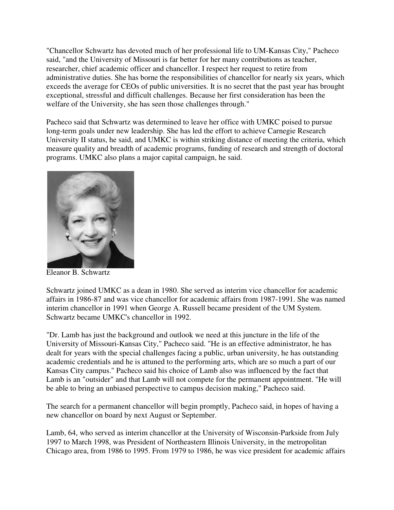"Chancellor Schwartz has devoted much of her professional life to UM-Kansas City," Pacheco said, "and the University of Missouri is far better for her many contributions as teacher, researcher, chief academic officer and chancellor. I respect her request to retire from administrative duties. She has borne the responsibilities of chancellor for nearly six years, which exceeds the average for CEOs of public universities. It is no secret that the past year has brought exceptional, stressful and difficult challenges. Because her first consideration has been the welfare of the University, she has seen those challenges through."

Pacheco said that Schwartz was determined to leave her office with UMKC poised to pursue long-term goals under new leadership. She has led the effort to achieve Carnegie Research University II status, he said, and UMKC is within striking distance of meeting the criteria, which measure quality and breadth of academic programs, funding of research and strength of doctoral programs. UMKC also plans a major capital campaign, he said.



Eleanor B. Schwartz

Schwartz joined UMKC as a dean in 1980. She served as interim vice chancellor for academic affairs in 1986-87 and was vice chancellor for academic affairs from 1987-1991. She was named interim chancellor in 1991 when George A. Russell became president of the UM System. Schwartz became UMKC's chancellor in 1992.

"Dr. Lamb has just the background and outlook we need at this juncture in the life of the University of Missouri-Kansas City," Pacheco said. "He is an effective administrator, he has dealt for years with the special challenges facing a public, urban university, he has outstanding academic credentials and he is attuned to the performing arts, which are so much a part of our Kansas City campus." Pacheco said his choice of Lamb also was influenced by the fact that Lamb is an "outsider" and that Lamb will not compete for the permanent appointment. "He will be able to bring an unbiased perspective to campus decision making," Pacheco said.

The search for a permanent chancellor will begin promptly, Pacheco said, in hopes of having a new chancellor on board by next August or September.

Lamb, 64, who served as interim chancellor at the University of Wisconsin-Parkside from July 1997 to March 1998, was President of Northeastern Illinois University, in the metropolitan Chicago area, from 1986 to 1995. From 1979 to 1986, he was vice president for academic affairs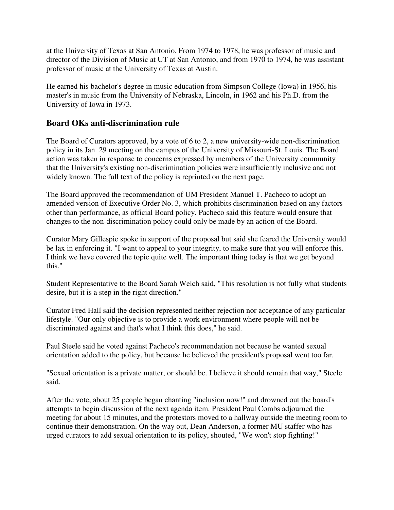at the University of Texas at San Antonio. From 1974 to 1978, he was professor of music and director of the Division of Music at UT at San Antonio, and from 1970 to 1974, he was assistant professor of music at the University of Texas at Austin.

He earned his bachelor's degree in music education from Simpson College (Iowa) in 1956, his master's in music from the University of Nebraska, Lincoln, in 1962 and his Ph.D. from the University of Iowa in 1973.

# **Board OKs anti-discrimination rule**

The Board of Curators approved, by a vote of 6 to 2, a new university-wide non-discrimination policy in its Jan. 29 meeting on the campus of the University of Missouri-St. Louis. The Board action was taken in response to concerns expressed by members of the University community that the University's existing non-discrimination policies were insufficiently inclusive and not widely known. The full text of the policy is reprinted on the next page.

The Board approved the recommendation of UM President Manuel T. Pacheco to adopt an amended version of Executive Order No. 3, which prohibits discrimination based on any factors other than performance, as official Board policy. Pacheco said this feature would ensure that changes to the non-discrimination policy could only be made by an action of the Board.

Curator Mary Gillespie spoke in support of the proposal but said she feared the University would be lax in enforcing it. "I want to appeal to your integrity, to make sure that you will enforce this. I think we have covered the topic quite well. The important thing today is that we get beyond this."

Student Representative to the Board Sarah Welch said, "This resolution is not fully what students desire, but it is a step in the right direction."

Curator Fred Hall said the decision represented neither rejection nor acceptance of any particular lifestyle. "Our only objective is to provide a work environment where people will not be discriminated against and that's what I think this does," he said.

Paul Steele said he voted against Pacheco's recommendation not because he wanted sexual orientation added to the policy, but because he believed the president's proposal went too far.

"Sexual orientation is a private matter, or should be. I believe it should remain that way," Steele said.

After the vote, about 25 people began chanting "inclusion now!" and drowned out the board's attempts to begin discussion of the next agenda item. President Paul Combs adjourned the meeting for about 15 minutes, and the protestors moved to a hallway outside the meeting room to continue their demonstration. On the way out, Dean Anderson, a former MU staffer who has urged curators to add sexual orientation to its policy, shouted, "We won't stop fighting!"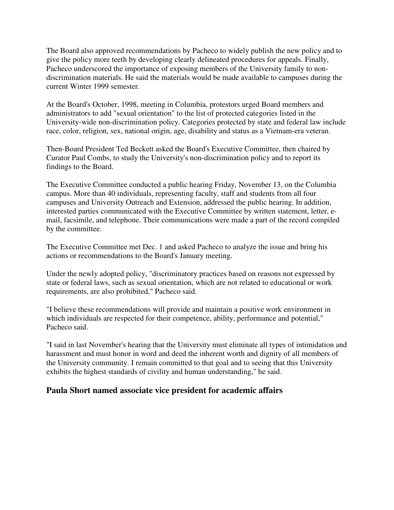The Board also approved recommendations by Pacheco to widely publish the new policy and to give the policy more teeth by developing clearly delineated procedures for appeals. Finally, Pacheco underscored the importance of exposing members of the University family to nondiscrimination materials. He said the materials would be made available to campuses during the current Winter 1999 semester.

At the Board's October, 1998, meeting in Columbia, protestors urged Board members and administrators to add "sexual orientation" to the list of protected categories listed in the University-wide non-discrimination policy. Categories protected by state and federal law include race, color, religion, sex, national origin, age, disability and status as a Vietnam-era veteran.

Then-Board President Ted Beckett asked the Board's Executive Committee, then chaired by Curator Paul Combs, to study the University's non-discrimination policy and to report its findings to the Board.

The Executive Committee conducted a public hearing Friday, November 13, on the Columbia campus. More than 40 individuals, representing faculty, staff and students from all four campuses and University Outreach and Extension, addressed the public hearing. In addition, interested parties communicated with the Executive Committee by written statement, letter, email, facsimile, and telephone. Their communications were made a part of the record compiled by the committee.

The Executive Committee met Dec. 1 and asked Pacheco to analyze the issue and bring his actions or recommendations to the Board's January meeting.

Under the newly adopted policy, "discriminatory practices based on reasons not expressed by state or federal laws, such as sexual orientation, which are not related to educational or work requirements, are also prohibited," Pacheco said.

"I believe these recommendations will provide and maintain a positive work environment in which individuals are respected for their competence, ability, performance and potential," Pacheco said.

"I said in last November's hearing that the University must eliminate all types of intimidation and harassment and must honor in word and deed the inherent worth and dignity of all members of the University community. I remain committed to that goal and to seeing that this University exhibits the highest standards of civility and human understanding," he said.

## **Paula Short named associate vice president for academic affairs**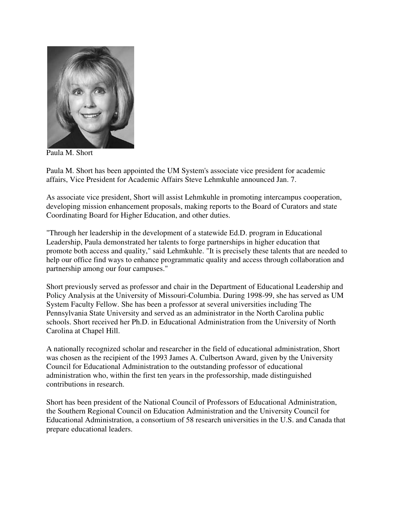

Paula M. Short

Paula M. Short has been appointed the UM System's associate vice president for academic affairs, Vice President for Academic Affairs Steve Lehmkuhle announced Jan. 7.

As associate vice president, Short will assist Lehmkuhle in promoting intercampus cooperation, developing mission enhancement proposals, making reports to the Board of Curators and state Coordinating Board for Higher Education, and other duties.

"Through her leadership in the development of a statewide Ed.D. program in Educational Leadership, Paula demonstrated her talents to forge partnerships in higher education that promote both access and quality," said Lehmkuhle. "It is precisely these talents that are needed to help our office find ways to enhance programmatic quality and access through collaboration and partnership among our four campuses."

Short previously served as professor and chair in the Department of Educational Leadership and Policy Analysis at the University of Missouri-Columbia. During 1998-99, she has served as UM System Faculty Fellow. She has been a professor at several universities including The Pennsylvania State University and served as an administrator in the North Carolina public schools. Short received her Ph.D. in Educational Administration from the University of North Carolina at Chapel Hill.

A nationally recognized scholar and researcher in the field of educational administration, Short was chosen as the recipient of the 1993 James A. Culbertson Award, given by the University Council for Educational Administration to the outstanding professor of educational administration who, within the first ten years in the professorship, made distinguished contributions in research.

Short has been president of the National Council of Professors of Educational Administration, the Southern Regional Council on Education Administration and the University Council for Educational Administration, a consortium of 58 research universities in the U.S. and Canada that prepare educational leaders.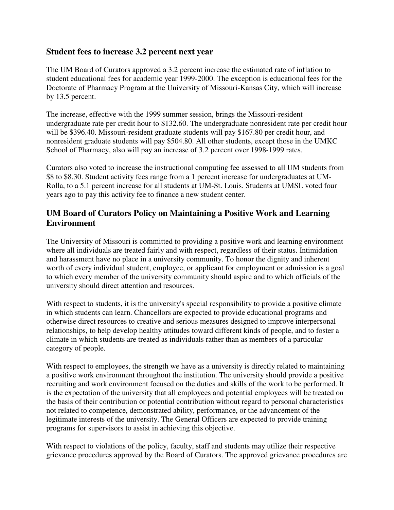## **Student fees to increase 3.2 percent next year**

The UM Board of Curators approved a 3.2 percent increase the estimated rate of inflation to student educational fees for academic year 1999-2000. The exception is educational fees for the Doctorate of Pharmacy Program at the University of Missouri-Kansas City, which will increase by 13.5 percent.

The increase, effective with the 1999 summer session, brings the Missouri-resident undergraduate rate per credit hour to \$132.60. The undergraduate nonresident rate per credit hour will be \$396.40. Missouri-resident graduate students will pay \$167.80 per credit hour, and nonresident graduate students will pay \$504.80. All other students, except those in the UMKC School of Pharmacy, also will pay an increase of 3.2 percent over 1998-1999 rates.

Curators also voted to increase the instructional computing fee assessed to all UM students from \$8 to \$8.30. Student activity fees range from a 1 percent increase for undergraduates at UM-Rolla, to a 5.1 percent increase for all students at UM-St. Louis. Students at UMSL voted four years ago to pay this activity fee to finance a new student center.

# **UM Board of Curators Policy on Maintaining a Positive Work and Learning Environment**

The University of Missouri is committed to providing a positive work and learning environment where all individuals are treated fairly and with respect, regardless of their status. Intimidation and harassment have no place in a university community. To honor the dignity and inherent worth of every individual student, employee, or applicant for employment or admission is a goal to which every member of the university community should aspire and to which officials of the university should direct attention and resources.

With respect to students, it is the university's special responsibility to provide a positive climate in which students can learn. Chancellors are expected to provide educational programs and otherwise direct resources to creative and serious measures designed to improve interpersonal relationships, to help develop healthy attitudes toward different kinds of people, and to foster a climate in which students are treated as individuals rather than as members of a particular category of people.

With respect to employees, the strength we have as a university is directly related to maintaining a positive work environment throughout the institution. The university should provide a positive recruiting and work environment focused on the duties and skills of the work to be performed. It is the expectation of the university that all employees and potential employees will be treated on the basis of their contribution or potential contribution without regard to personal characteristics not related to competence, demonstrated ability, performance, or the advancement of the legitimate interests of the university. The General Officers are expected to provide training programs for supervisors to assist in achieving this objective.

With respect to violations of the policy, faculty, staff and students may utilize their respective grievance procedures approved by the Board of Curators. The approved grievance procedures are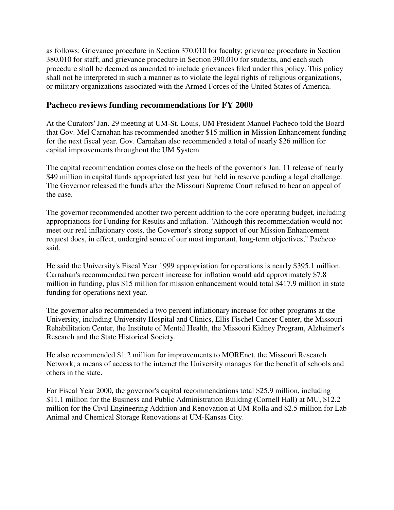as follows: Grievance procedure in Section 370.010 for faculty; grievance procedure in Section 380.010 for staff; and grievance procedure in Section 390.010 for students, and each such procedure shall be deemed as amended to include grievances filed under this policy. This policy shall not be interpreted in such a manner as to violate the legal rights of religious organizations, or military organizations associated with the Armed Forces of the United States of America.

## **Pacheco reviews funding recommendations for FY 2000**

At the Curators' Jan. 29 meeting at UM-St. Louis, UM President Manuel Pacheco told the Board that Gov. Mel Carnahan has recommended another \$15 million in Mission Enhancement funding for the next fiscal year. Gov. Carnahan also recommended a total of nearly \$26 million for capital improvements throughout the UM System.

The capital recommendation comes close on the heels of the governor's Jan. 11 release of nearly \$49 million in capital funds appropriated last year but held in reserve pending a legal challenge. The Governor released the funds after the Missouri Supreme Court refused to hear an appeal of the case.

The governor recommended another two percent addition to the core operating budget, including appropriations for Funding for Results and inflation. "Although this recommendation would not meet our real inflationary costs, the Governor's strong support of our Mission Enhancement request does, in effect, undergird some of our most important, long-term objectives," Pacheco said.

He said the University's Fiscal Year 1999 appropriation for operations is nearly \$395.1 million. Carnahan's recommended two percent increase for inflation would add approximately \$7.8 million in funding, plus \$15 million for mission enhancement would total \$417.9 million in state funding for operations next year.

The governor also recommended a two percent inflationary increase for other programs at the University, including University Hospital and Clinics, Ellis Fischel Cancer Center, the Missouri Rehabilitation Center, the Institute of Mental Health, the Missouri Kidney Program, Alzheimer's Research and the State Historical Society.

He also recommended \$1.2 million for improvements to MOREnet, the Missouri Research Network, a means of access to the internet the University manages for the benefit of schools and others in the state.

For Fiscal Year 2000, the governor's capital recommendations total \$25.9 million, including \$11.1 million for the Business and Public Administration Building (Cornell Hall) at MU, \$12.2 million for the Civil Engineering Addition and Renovation at UM-Rolla and \$2.5 million for Lab Animal and Chemical Storage Renovations at UM-Kansas City.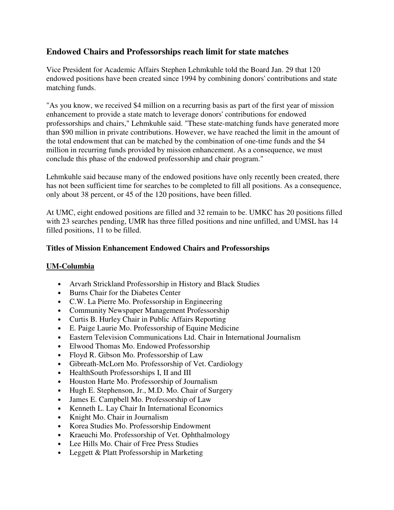# **Endowed Chairs and Professorships reach limit for state matches**

Vice President for Academic Affairs Stephen Lehmkuhle told the Board Jan. 29 that 120 endowed positions have been created since 1994 by combining donors' contributions and state matching funds.

"As you know, we received \$4 million on a recurring basis as part of the first year of mission enhancement to provide a state match to leverage donors' contributions for endowed professorships and chairs," Lehmkuhle said. "These state-matching funds have generated more than \$90 million in private contributions. However, we have reached the limit in the amount of the total endowment that can be matched by the combination of one-time funds and the \$4 million in recurring funds provided by mission enhancement. As a consequence, we must conclude this phase of the endowed professorship and chair program."

Lehmkuhle said because many of the endowed positions have only recently been created, there has not been sufficient time for searches to be completed to fill all positions. As a consequence, only about 38 percent, or 45 of the 120 positions, have been filled.

At UMC, eight endowed positions are filled and 32 remain to be. UMKC has 20 positions filled with 23 searches pending, UMR has three filled positions and nine unfilled, and UMSL has 14 filled positions, 11 to be filled.

#### **Titles of Mission Enhancement Endowed Chairs and Professorships**

#### **UM-Columbia**

- Arvarh Strickland Professorship in History and Black Studies
- Burns Chair for the Diabetes Center
- C.W. La Pierre Mo. Professorship in Engineering
- Community Newspaper Management Professorship
- Curtis B. Hurley Chair in Public Affairs Reporting
- E. Paige Laurie Mo. Professorship of Equine Medicine
- Eastern Television Communications Ltd. Chair in International Journalism
- Elwood Thomas Mo. Endowed Professorship
- Floyd R. Gibson Mo. Professorship of Law
- Gibreath-McLorn Mo. Professorship of Vet. Cardiology
- HealthSouth Professorships I, II and III
- Houston Harte Mo. Professorship of Journalism
- Hugh E. Stephenson, Jr., M.D. Mo. Chair of Surgery
- James E. Campbell Mo. Professorship of Law
- Kenneth L. Lay Chair In International Economics
- Knight Mo. Chair in Journalism
- Korea Studies Mo. Professorship Endowment
- Kraeuchi Mo. Professorship of Vet. Ophthalmology
- Lee Hills Mo. Chair of Free Press Studies
- Leggett & Platt Professorship in Marketing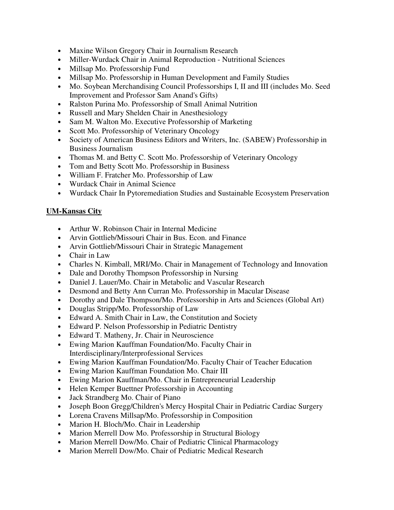- Maxine Wilson Gregory Chair in Journalism Research
- Miller-Wurdack Chair in Animal Reproduction Nutritional Sciences
- Millsap Mo. Professorship Fund
- Millsap Mo. Professorship in Human Development and Family Studies
- Mo. Soybean Merchandising Council Professorships I, II and III (includes Mo. Seed Improvement and Professor Sam Anand's Gifts)
- Ralston Purina Mo. Professorship of Small Animal Nutrition
- Russell and Mary Shelden Chair in Anesthesiology
- Sam M. Walton Mo. Executive Professorship of Marketing
- Scott Mo. Professorship of Veterinary Oncology
- Society of American Business Editors and Writers, Inc. (SABEW) Professorship in Business Journalism
- Thomas M. and Betty C. Scott Mo. Professorship of Veterinary Oncology
- Tom and Betty Scott Mo. Professorship in Business
- William F. Fratcher Mo. Professorship of Law
- Wurdack Chair in Animal Science
- Wurdack Chair In Pytoremediation Studies and Sustainable Ecosystem Preservation

#### **UM-Kansas City**

- Arthur W. Robinson Chair in Internal Medicine
- Arvin Gottlieb/Missouri Chair in Bus. Econ. and Finance
- Arvin Gottlieb/Missouri Chair in Strategic Management
- Chair in Law
- Charles N. Kimball, MRI/Mo. Chair in Management of Technology and Innovation
- Dale and Dorothy Thompson Professorship in Nursing
- Daniel J. Lauer/Mo. Chair in Metabolic and Vascular Research
- Desmond and Betty Ann Curran Mo. Professorship in Macular Disease
- Dorothy and Dale Thompson/Mo. Professorship in Arts and Sciences (Global Art)
- Douglas Stripp/Mo. Professorship of Law
- Edward A. Smith Chair in Law, the Constitution and Society
- Edward P. Nelson Professorship in Pediatric Dentistry
- Edward T. Matheny, Jr. Chair in Neuroscience
- Ewing Marion Kauffman Foundation/Mo. Faculty Chair in Interdisciplinary/Interprofessional Services
- Ewing Marion Kauffman Foundation/Mo. Faculty Chair of Teacher Education
- Ewing Marion Kauffman Foundation Mo. Chair III
- Ewing Marion Kauffman/Mo. Chair in Entrepreneurial Leadership
- Helen Kemper Buettner Professorship in Accounting
- Jack Strandberg Mo. Chair of Piano
- Joseph Boon Gregg/Children's Mercy Hospital Chair in Pediatric Cardiac Surgery
- Lorena Cravens Millsap/Mo. Professorship in Composition
- Marion H. Bloch/Mo. Chair in Leadership
- Marion Merrell Dow Mo. Professorship in Structural Biology
- Marion Merrell Dow/Mo. Chair of Pediatric Clinical Pharmacology
- Marion Merrell Dow/Mo. Chair of Pediatric Medical Research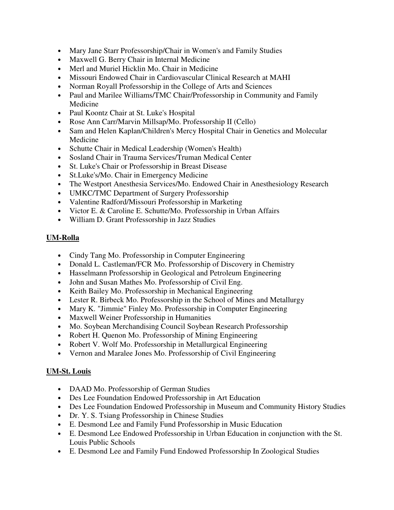- Mary Jane Starr Professorship/Chair in Women's and Family Studies
- Maxwell G. Berry Chair in Internal Medicine
- Merl and Muriel Hicklin Mo. Chair in Medicine
- Missouri Endowed Chair in Cardiovascular Clinical Research at MAHI
- Norman Royall Professorship in the College of Arts and Sciences
- Paul and Marilee Williams/TMC Chair/Professorship in Community and Family Medicine
- Paul Koontz Chair at St. Luke's Hospital
- Rose Ann Carr/Marvin Millsap/Mo. Professorship II (Cello)
- Sam and Helen Kaplan/Children's Mercy Hospital Chair in Genetics and Molecular Medicine
- Schutte Chair in Medical Leadership (Women's Health)
- Sosland Chair in Trauma Services/Truman Medical Center
- St. Luke's Chair or Professorship in Breast Disease
- St.Luke's/Mo. Chair in Emergency Medicine
- The Westport Anesthesia Services/Mo. Endowed Chair in Anesthesiology Research
- UMKC/TMC Department of Surgery Professorship
- Valentine Radford/Missouri Professorship in Marketing
- Victor E. & Caroline E. Schutte/Mo. Professorship in Urban Affairs
- William D. Grant Professorship in Jazz Studies

### **UM-Rolla**

- Cindy Tang Mo. Professorship in Computer Engineering
- Donald L. Castleman/FCR Mo. Professorship of Discovery in Chemistry
- Hasselmann Professorship in Geological and Petroleum Engineering
- John and Susan Mathes Mo. Professorship of Civil Eng.
- Keith Bailey Mo. Professorship in Mechanical Engineering
- Lester R. Birbeck Mo. Professorship in the School of Mines and Metallurgy
- Mary K. "Jimmie" Finley Mo. Professorship in Computer Engineering
- Maxwell Weiner Professorship in Humanities
- Mo. Soybean Merchandising Council Soybean Research Professorship
- Robert H. Quenon Mo. Professorship of Mining Engineering
- Robert V. Wolf Mo. Professorship in Metallurgical Engineering
- Vernon and Maralee Jones Mo. Professorship of Civil Engineering

#### **UM-St. Louis**

- DAAD Mo. Professorship of German Studies
- Des Lee Foundation Endowed Professorship in Art Education
- Des Lee Foundation Endowed Professorship in Museum and Community History Studies
- Dr. Y. S. Tsiang Professorship in Chinese Studies
- E. Desmond Lee and Family Fund Professorship in Music Education
- E. Desmond Lee Endowed Professorship in Urban Education in conjunction with the St. Louis Public Schools
- E. Desmond Lee and Family Fund Endowed Professorship In Zoological Studies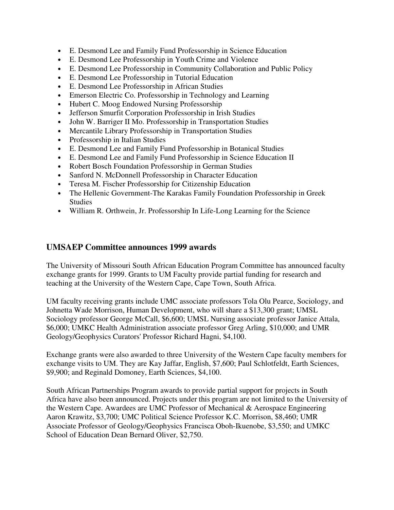- E. Desmond Lee and Family Fund Professorship in Science Education
- E. Desmond Lee Professorship in Youth Crime and Violence
- E. Desmond Lee Professorship in Community Collaboration and Public Policy
- E. Desmond Lee Professorship in Tutorial Education
- E. Desmond Lee Professorship in African Studies
- Emerson Electric Co. Professorship in Technology and Learning
- Hubert C. Moog Endowed Nursing Professorship
- Jefferson Smurfit Corporation Professorship in Irish Studies
- John W. Barriger II Mo. Professorship in Transportation Studies
- Mercantile Library Professorship in Transportation Studies
- Professorship in Italian Studies
- E. Desmond Lee and Family Fund Professorship in Botanical Studies
- E. Desmond Lee and Family Fund Professorship in Science Education II
- Robert Bosch Foundation Professorship in German Studies
- Sanford N. McDonnell Professorship in Character Education
- Teresa M. Fischer Professorship for Citizenship Education
- The Hellenic Government-The Karakas Family Foundation Professorship in Greek Studies
- William R. Orthwein, Jr. Professorship In Life-Long Learning for the Science

### **UMSAEP Committee announces 1999 awards**

The University of Missouri South African Education Program Committee has announced faculty exchange grants for 1999. Grants to UM Faculty provide partial funding for research and teaching at the University of the Western Cape, Cape Town, South Africa.

UM faculty receiving grants include UMC associate professors Tola Olu Pearce, Sociology, and Johnetta Wade Morrison, Human Development, who will share a \$13,300 grant; UMSL Sociology professor George McCall, \$6,600; UMSL Nursing associate professor Janice Attala, \$6,000; UMKC Health Administration associate professor Greg Arling, \$10,000; and UMR Geology/Geophysics Curators' Professor Richard Hagni, \$4,100.

Exchange grants were also awarded to three University of the Western Cape faculty members for exchange visits to UM. They are Kay Jaffar, English, \$7,600; Paul Schlotfeldt, Earth Sciences, \$9,900; and Reginald Domoney, Earth Sciences, \$4,100.

South African Partnerships Program awards to provide partial support for projects in South Africa have also been announced. Projects under this program are not limited to the University of the Western Cape. Awardees are UMC Professor of Mechanical & Aerospace Engineering Aaron Krawitz, \$3,700; UMC Political Science Professor K.C. Morrison, \$8,460; UMR Associate Professor of Geology/Geophysics Francisca Oboh-Ikuenobe, \$3,550; and UMKC School of Education Dean Bernard Oliver, \$2,750.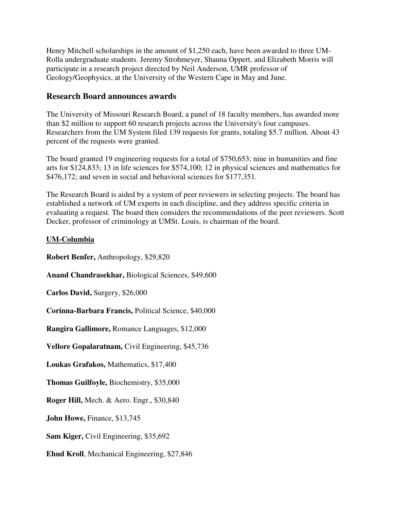Henry Mitchell scholarships in the amount of \$1,250 each, have been awarded to three UM-Rolla undergraduate students. Jeremy Strohmeyer, Shauna Oppert, and Elizabeth Morris will participate in a research project directed by Neil Anderson, UMR professor of Geology/Geophysics, at the University of the Western Cape in May and June.

### **Research Board announces awards**

The University of Missouri Research Board, a panel of 18 faculty members, has awarded more than \$2 million to support 60 research projects across the University's four campuses. Researchers from the UM System filed 139 requests for grants, totaling \$5.7 million. About 43 percent of the requests were granted.

The board granted 19 engineering requests for a total of \$750,653; nine in humanities and fine arts for \$124,833; 13 in life sciences for \$574,100; 12 in physical sciences and mathematics for \$476,172; and seven in social and behavioral sciences for \$177,351.

The Research Board is aided by a system of peer reviewers in selecting projects. The board has established a network of UM experts in each discipline, and they address specific criteria in evaluating a request. The board then considers the recommendations of the peer reviewers. Scott Decker, professor of criminology at UMSt. Louis, is chairman of the board.

#### **UM-Columbia**

**Robert Benfer,** Anthropology, \$29,820

**Anand Chandrasekhar,** Biological Sciences, \$49,600

**Carlos David,** Surgery, \$26,000

**Corinna-Barbara Francis,** Political Science, \$40,000

**Rangira Gallimore,** Romance Languages, \$12,000

**Vellore Gopalaratnam,** Civil Engineering, \$45,736

**Loukas Grafakos,** Mathematics, \$17,400

**Thomas Guilfoyle,** Biochemistry, \$35,000

**Roger Hill,** Mech. & Aero. Engr., \$30,840

**John Howe,** Finance, \$13,745

**Sam Kiger,** Civil Engineering, \$35,692

**Ehud Kroll**, Mechanical Engineering, \$27,846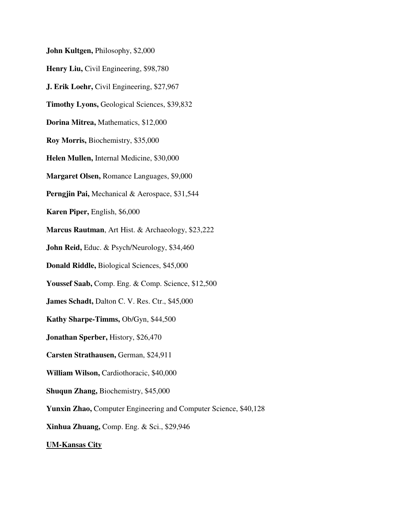**John Kultgen,** Philosophy, \$2,000

**Henry Liu,** Civil Engineering, \$98,780

**J. Erik Loehr,** Civil Engineering, \$27,967

**Timothy Lyons,** Geological Sciences, \$39,832

**Dorina Mitrea,** Mathematics, \$12,000

**Roy Morris,** Biochemistry, \$35,000

**Helen Mullen,** Internal Medicine, \$30,000

**Margaret Olsen,** Romance Languages, \$9,000

**Perngjin Pai,** Mechanical & Aerospace, \$31,544

**Karen Piper,** English, \$6,000

**Marcus Rautman**, Art Hist. & Archaeology, \$23,222

**John Reid,** Educ. & Psych/Neurology, \$34,460

**Donald Riddle,** Biological Sciences, \$45,000

**Youssef Saab,** Comp. Eng. & Comp. Science, \$12,500

**James Schadt, Dalton C. V. Res. Ctr., \$45,000** 

**Kathy Sharpe-Timms,** Ob/Gyn, \$44,500

**Jonathan Sperber,** History, \$26,470

**Carsten Strathausen,** German, \$24,911

**William Wilson,** Cardiothoracic, \$40,000

**Shuqun Zhang,** Biochemistry, \$45,000

**Yunxin Zhao,** Computer Engineering and Computer Science, \$40,128

**Xinhua Zhuang,** Comp. Eng. & Sci., \$29,946

**UM-Kansas City**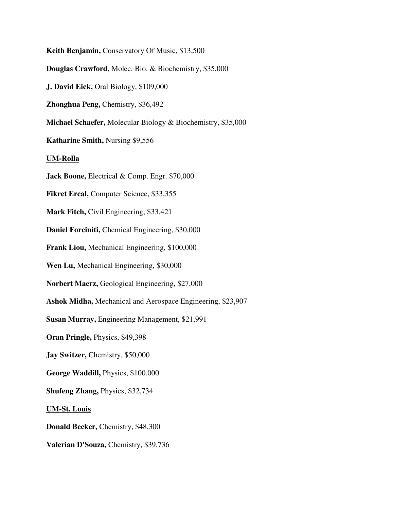**Keith Benjamin,** Conservatory Of Music, \$13,500 **Douglas Crawford,** Molec. Bio. & Biochemistry, \$35,000 **J. David Eick,** Oral Biology, \$109,000 **Zhonghua Peng,** Chemistry, \$36,492 **Michael Schaefer,** Molecular Biology & Biochemistry, \$35,000 **Katharine Smith,** Nursing \$9,556 **UM-Rolla Jack Boone,** Electrical & Comp. Engr. \$70,000 **Fikret Ercal,** Computer Science, \$33,355 **Mark Fitch,** Civil Engineering, \$33,421 **Daniel Forciniti,** Chemical Engineering, \$30,000 **Frank Liou,** Mechanical Engineering, \$100,000 **Wen Lu,** Mechanical Engineering, \$30,000 **Norbert Maerz,** Geological Engineering, \$27,000 **Ashok Midha,** Mechanical and Aerospace Engineering, \$23,907 **Susan Murray,** Engineering Management, \$21,991 **Oran Pringle,** Physics, \$49,398 **Jay Switzer,** Chemistry, \$50,000 **George Waddill,** Physics, \$100,000 **Shufeng Zhang,** Physics, \$32,734 **UM-St. Louis Donald Becker,** Chemistry, \$48,300 **Valerian D'Souza,** Chemistry, \$39,736